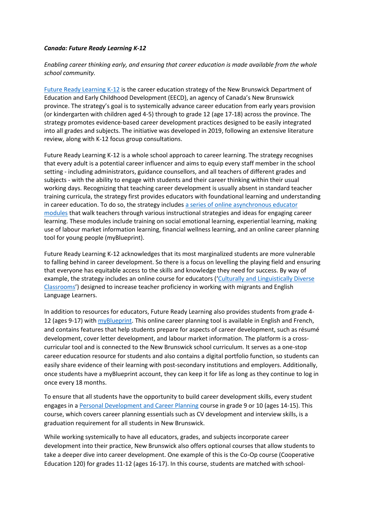## *Canada: Future Ready Learning K-12*

## *Enabling career thinking early, and ensuring that career education is made available from the whole school community.*

[Future Ready Learning K-12](https://www2.gnb.ca/content/gnb/en/departments/education/k12/content/future-ready-learning.html) is the career education strategy of the New Brunswick Department of Education and Early Childhood Development (EECD), an agency of Canada's New Brunswick province. The strategy's goal is to systemically advance career education from early years provision (or kindergarten with children aged 4-5) through to grade 12 (age 17-18) across the province. The strategy promotes evidence-based career development practices designed to be easily integrated into all grades and subjects. The initiative was developed in 2019, following an extensive literature review, along with K-12 focus group consultations.

Future Ready Learning K-12 is a whole school approach to career learning. The strategy recognises that every adult is a potential career influencer and aims to equip every staff member in the school setting - including administrators, guidance counsellors, and all teachers of different grades and subjects - with the ability to engage with students and their career thinking within their usual working days. Recognizing that teaching career development is usually absent in standard teacher training curricula, the strategy first provides educators with foundational learning and understanding in career education. To do so, the strategy include[s a series of online asynchronous educator](https://pedex.nbed.nb.ca/frl/M01/story_html5.html)  [modules](https://pedex.nbed.nb.ca/frl/M01/story_html5.html) that walk teachers through various instructional strategies and ideas for engaging career learning. These modules include training on social emotional learning, experiential learning, making use of labour market information learning, financial wellness learning, and an online career planning tool for young people (myBlueprint).

Future Ready Learning K-12 acknowledges that its most marginalized students are more vulnerable to falling behind in career development. So there is a focus on levelling the playing field and ensuring that everyone has equitable access to the skills and knowledge they need for success. By way of example, the strategy includes an online course for educators ('Culturally and Linguistically Diverse [Classrooms](https://ceric.ca/2021/01/applying-universal-design-as-a-pathway-to-inclusive-career-education)') designed to increase teacher proficiency in working with migrants and English Language Learners.

In addition to resources for educators, Future Ready Learning also provides students from grade 4- 12 (ages 9-17) with [myBlueprint.](https://myblueprint.ca/) This online career planning tool is available in English and French, and contains features that help students prepare for aspects of career development, such as résumé development, cover letter development, and labour market information. The platform is a crosscurricular tool and is connected to the New Brunswick school curriculum. It serves as a one-stop career education resource for students and also contains a digital portfolio function, so students can easily share evidence of their learning with post-secondary institutions and employers. Additionally, once students have a myBlueprint account, they can keep it for life as long as they continue to log in once every 18 months.

To ensure that all students have the opportunity to build career development skills, every student engages in [a Personal Development and Career Planning](https://www2.gnb.ca/content/dam/gnb/Departments/ed/pdf/K12/curric/Guidance/PersonalDevelopmentCareerPlanning.pdf) course in grade 9 or 10 (ages 14-15). This course, which covers career planning essentials such as CV development and interview skills, is a graduation requirement for all students in New Brunswick.

While working systemically to have all educators, grades, and subjects incorporate career development into their practice, New Brunswick also offers optional courses that allow students to take a deeper dive into career development. One example of this is the Co-Op course (Cooperative Education 120) for grades 11-12 (ages 16-17). In this course, students are matched with school